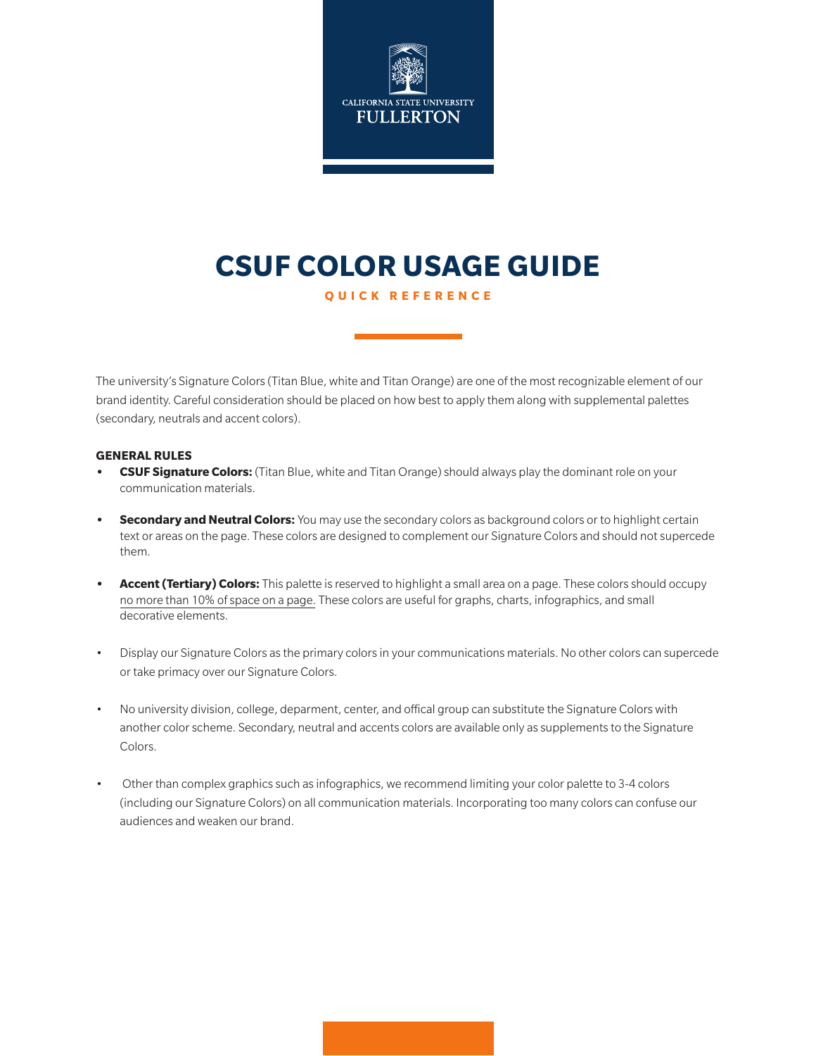

# **CSUF COLOR USAGE GUIDE**

**QUICK REFERENCE**

The university's Signature Colors (Titan Blue, white and Titan Orange) are one of the most recognizable element of our brand identity. Careful consideration should be placed on how best to apply them along with supplemental palettes (secondary, neutrals and accent colors).

#### **GENERAL RULES**

- **• CSUF Signature Colors:** (Titan Blue, white and Titan Orange) should always play the dominant role on your communication materials.
- **• Secondary and Neutral Colors:** You may use the secondary colors as background colors or to highlight certain text or areas on the page. These colors are designed to complement our Signature Colors and should not supercede them.
- **• Accent (Tertiary) Colors:** This palette is reserved to highlight a small area on a page. These colors should occupy no more than 10% of space on a page. These colors are useful for graphs, charts, infographics, and small decorative elements.
- Display our Signature Colors as the primary colors in your communications materials. No other colors can supercede or take primacy over our Signature Colors.
- No university division, college, deparment, center, and offical group can substitute the Signature Colors with another color scheme. Secondary, neutral and accents colors are available only as supplements to the Signature Colors.
- Other than complex graphics such as infographics, we recommend limiting your color palette to 3-4 colors (including our Signature Colors) on all communication materials. Incorporating too many colors can confuse our audiences and weaken our brand.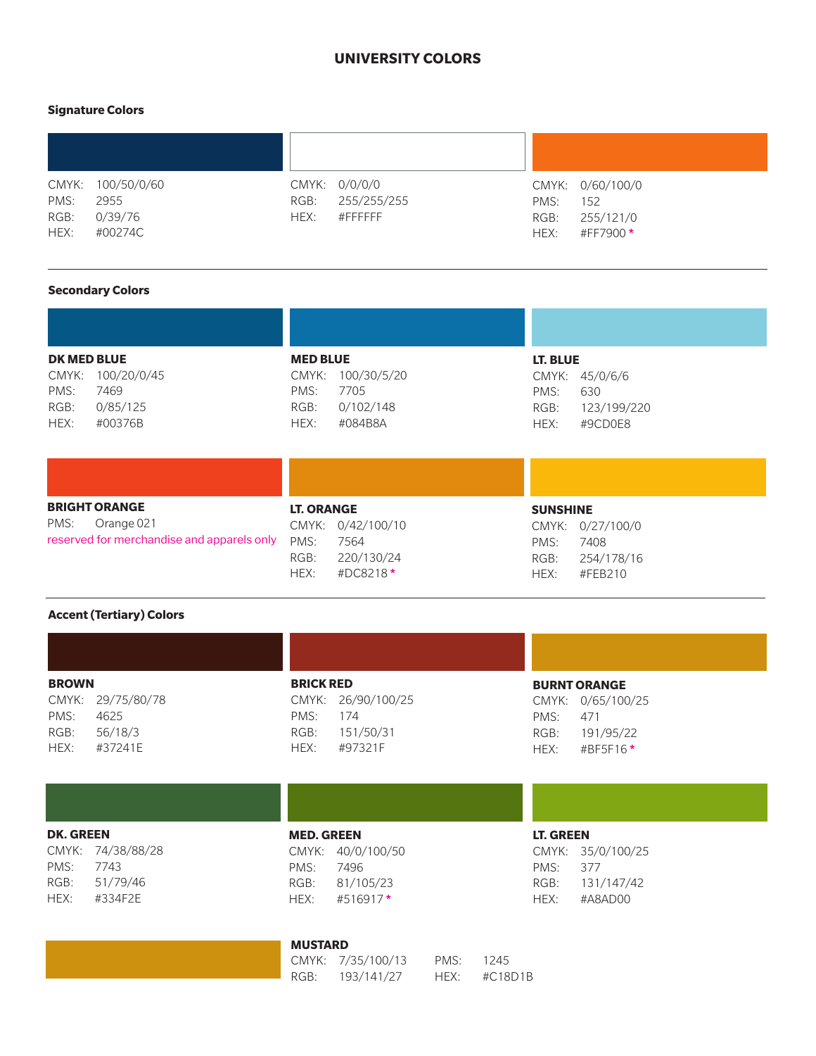#### **UNIVERSITY COLORS**

#### **Signature Colors**

| PMS:<br>RGB:<br>HEX: | CMYK: 100/50/0/60<br>2955<br>0/39/76<br>#00274C | RGB:<br>HEX: | CMYK: 0/0/0/0<br>255/255/255<br>$\#$ FFFFFFF | PMS:<br>RGB:<br>HEX: | CMYK: 0/60/100/0<br>152<br>255/121/0<br>#FF7900* |
|----------------------|-------------------------------------------------|--------------|----------------------------------------------|----------------------|--------------------------------------------------|

#### **Secondary Colors**

| <b>DK MED BLUE</b> |                   | <b>MED BLUE</b> |                   |      | LT. BLUE       |  |
|--------------------|-------------------|-----------------|-------------------|------|----------------|--|
|                    | CMYK: 100/20/0/45 |                 | CMYK: 100/30/5/20 |      | CMYK: 45/0/6/6 |  |
| PMS:               | 7469              | PMS:            | 7705              | PMS: | 630            |  |
| RGB:               | 0/85/125          | RGB:            | 0/102/148         | RGB: | 123/199/220    |  |
| HEX:               | #00376B           | HEX:            | #084B8A           | HEX: | #9CD0E8        |  |
|                    |                   |                 |                   |      |                |  |
|                    |                   |                 |                   |      |                |  |

| <b>BRIGHT ORANGE</b>                       | <b>LT. ORANGE</b>   | <b>SUNSHINE</b>    |
|--------------------------------------------|---------------------|--------------------|
| PMS:<br>Orange 021                         | CMYK: 0/42/100/10   | CMYK: 0/27/100/0   |
| reserved for merchandise and apparels only | PMS:<br>7564        | PMS:<br>7408       |
|                                            | 220/130/24<br>RGB:  | 254/178/16<br>RGB: |
|                                            | #DC8218 $*$<br>HEX: | #FEB210<br>HEX:    |

#### **Accent (Tertiary) Colors**

| <b>BROWN</b>      | <b>BRICK RED</b>   | <b>BURNT C</b> |
|-------------------|--------------------|----------------|
| CMYK: 29/75/80/78 | CMYK: 26/90/100/25 | CMYK:          |
| PMS:<br>4625      | PMS:<br>174        | PMS:           |
| 56/18/3<br>RGB:   | 151/50/31<br>RGB:  | RGB:           |
| HFX:<br>#37241F   | #97321F<br>HFX:    | HFX:           |
|                   |                    |                |

**DK. GREEN** CMYK: 74/38/88/28 PMS: 7743 RGB: 51/79/46 HEX: #334F2E

### **BRANGE** 0/65/100/25 471 RGB: 191/95/22 HEX: #BF5F16 **\***

## **MED. GREEN**

CMYK: 40/0/100/50 PMS: 7496 RGB: 81/105/23 HEX: #516917 **\***

#### **MUSTARD**

CMYK: 7/35/100/13 PMS: 1245 RGB: 193/141/27 HEX: #C18D1B

**LT. GREEN** CMYK: 35/0/100/25 PMS: 377 RGB: 131/147/42 HEX: #A8AD00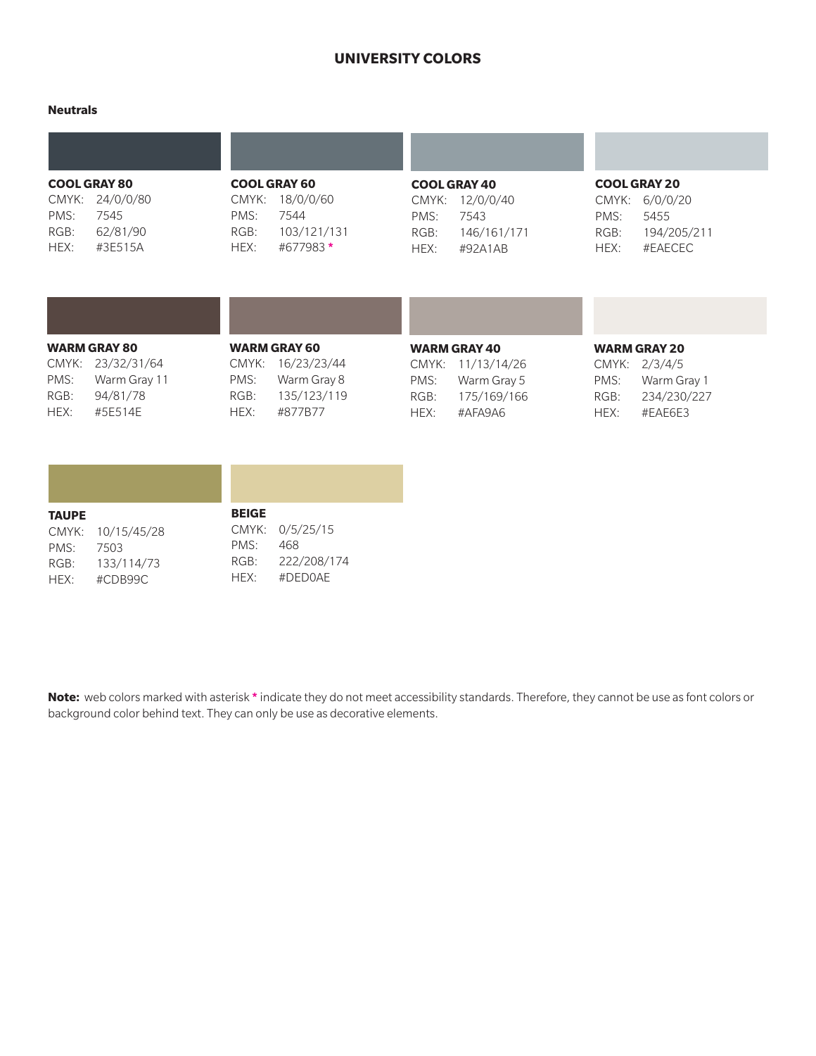#### **UNIVERSITY COLORS**

#### **Neutrals**

|       | <b>COOL GRAY 80</b> |       | <b>COOL GRAY 60</b> |       | <b>COOL GRAY 40</b> |       | <b>COOL GRAY 20</b> |
|-------|---------------------|-------|---------------------|-------|---------------------|-------|---------------------|
| CMYK: | 24/0/0/80           | CMYK: | 18/0/0/60           | CMYK: | 12/0/0/40           | CMYK: | 6/0/0/20            |
| PMS:  | 7545                | PMS:  | 7544                | PMS:  | 7543                | PMS:  | 5455                |
| RGB:  | 62/81/90            | RGB:  | 103/121/131         | RGB:  | 146/161/171         | RGB:  | 194/205/211         |
| HEX:  | #3E515A             | HEX:  | #677983 *           | HEX:  | #92A1AB             | HEX:  | #EAECEC             |

|      | <b>WARM GRAY 80</b> |      | <b>WARM GRAY 60</b> |      | <b>WARM GRAY 40</b> |      | <b>WARM GRAY 20</b> |
|------|---------------------|------|---------------------|------|---------------------|------|---------------------|
|      | CMYK: 23/32/31/64   |      | CMYK: 16/23/23/44   |      | CMYK: 11/13/14/26   |      | CMYK: 2/3/4/5       |
| PMS: | Warm Gray 11        | PMS: | Warm Gray 8         | PMS: | Warm Gray 5         | PMS: | Warm Gray 1         |
| RGB: | 94/81/78            | RGB: | 135/123/119         | RGB: | 175/169/166         | RGB: | 234/230/227         |
| HEX: | #5E514E             | HEX: | #877B77             | HEX: | #AFA9A6             | HEX: | #EAE6E3             |

| <b>TAUPE</b> |                   | <b>BEIGE</b> |                  |  |
|--------------|-------------------|--------------|------------------|--|
|              | CMYK: 10/15/45/28 |              | CMYK: 0/5/25/15  |  |
| PMS: 7503    |                   | PMS:         | 468              |  |
|              | RGB: 133/114/73   |              | RGB: 222/208/174 |  |
| HFX:         | #CDB99C           | HFX:         | #DFD0AF          |  |

**Note:** web colors marked with asterisk **\*** indicate they do not meet accessibility standards. Therefore, they cannot be use as font colors or background color behind text. They can only be use as decorative elements.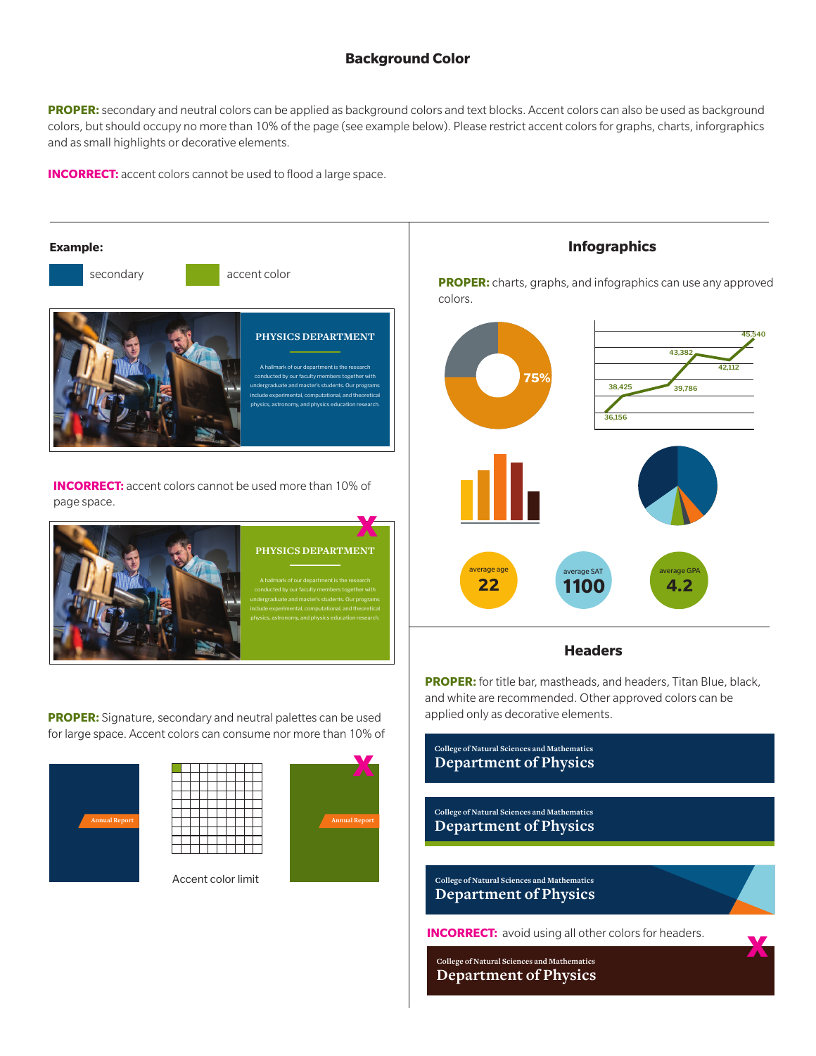#### **Background Color**

**PROPER:** secondary and neutral colors can be applied as background colors and text blocks. Accent colors can also be used as background colors, but should occupy no more than 10% of the page (see example below). Please restrict accent colors for graphs, charts, inforgraphics and as small highlights or decorative elements.

**INCORRECT:** accent colors cannot be used to flood a large space.